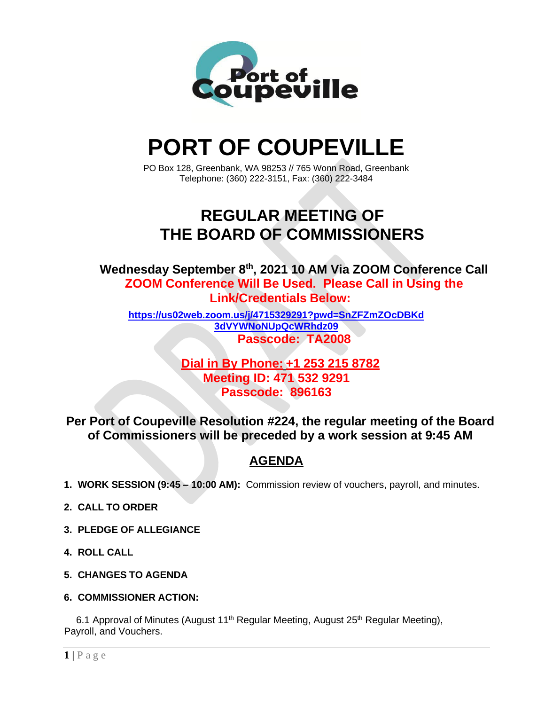

# **PORT OF COUPEVILLE**

PO Box 128, Greenbank, WA 98253 // 765 Wonn Road, Greenbank Telephone: (360) 222-3151, Fax: (360) 222-3484

# **REGULAR MEETING OF THE BOARD OF COMMISSIONERS**

**Wednesday September 8th , 2021 10 AM Via ZOOM Conference Call ZOOM Conference Will Be Used. Please Call in Using the Link/Credentials Below:**

**[https://us02web.zoom.us/j/4715329291?pwd=SnZFZmZOcDBKd](https://us02web.zoom.us/j/4715329291?pwd=SnZFZmZOcDBKd3dVYWNoNUpQcWRhdz09) [3dVYWNoNUpQcWRhdz09](https://us02web.zoom.us/j/4715329291?pwd=SnZFZmZOcDBKd3dVYWNoNUpQcWRhdz09) Passcode: TA2008**

### **Dial in By Phone: +1 253 215 8782 Meeting ID: 471 532 9291 Passcode: 896163**

**Per Port of Coupeville Resolution #224, the regular meeting of the Board of Commissioners will be preceded by a work session at 9:45 AM**

## **AGENDA**

- **1. WORK SESSION (9:45 – 10:00 AM):** Commission review of vouchers, payroll, and minutes.
- **2. CALL TO ORDER**
- **3. PLEDGE OF ALLEGIANCE**
- **4. ROLL CALL**
- **5. CHANGES TO AGENDA**
- **6. COMMISSIONER ACTION:**

6.1 Approval of Minutes (August 11<sup>th</sup> Regular Meeting, August 25<sup>th</sup> Regular Meeting), Payroll, and Vouchers.